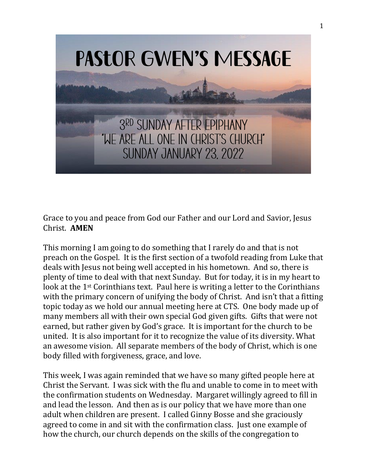

Grace to you and peace from God our Father and our Lord and Savior, Jesus Christ. **AMEN**

This morning I am going to do something that I rarely do and that is not preach on the Gospel. It is the first section of a twofold reading from Luke that deals with Jesus not being well accepted in his hometown. And so, there is plenty of time to deal with that next Sunday. But for today, it is in my heart to look at the 1<sup>st</sup> Corinthians text. Paul here is writing a letter to the Corinthians with the primary concern of unifying the body of Christ. And isn't that a fitting topic today as we hold our annual meeting here at CTS. One body made up of many members all with their own special God given gifts. Gifts that were not earned, but rather given by God's grace. It is important for the church to be united. It is also important for it to recognize the value of its diversity. What an awesome vision. All separate members of the body of Christ, which is one body filled with forgiveness, grace, and love.

This week, I was again reminded that we have so many gifted people here at Christ the Servant. I was sick with the flu and unable to come in to meet with the confirmation students on Wednesday. Margaret willingly agreed to fill in and lead the lesson. And then as is our policy that we have more than one adult when children are present. I called Ginny Bosse and she graciously agreed to come in and sit with the confirmation class. Just one example of how the church, our church depends on the skills of the congregation to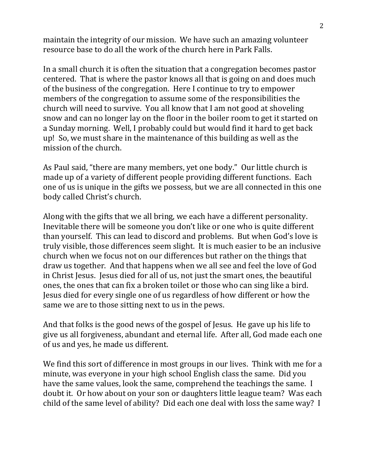maintain the integrity of our mission. We have such an amazing volunteer resource base to do all the work of the church here in Park Falls.

In a small church it is often the situation that a congregation becomes pastor centered. That is where the pastor knows all that is going on and does much of the business of the congregation. Here I continue to try to empower members of the congregation to assume some of the responsibilities the church will need to survive. You all know that I am not good at shoveling snow and can no longer lay on the floor in the boiler room to get it started on a Sunday morning. Well, I probably could but would find it hard to get back up! So, we must share in the maintenance of this building as well as the mission of the church.

As Paul said, "there are many members, yet one body." Our little church is made up of a variety of different people providing different functions. Each one of us is unique in the gifts we possess, but we are all connected in this one body called Christ's church.

Along with the gifts that we all bring, we each have a different personality. Inevitable there will be someone you don't like or one who is quite different than yourself. This can lead to discord and problems. But when God's love is truly visible, those differences seem slight. It is much easier to be an inclusive church when we focus not on our differences but rather on the things that draw us together. And that happens when we all see and feel the love of God in Christ Jesus. Jesus died for all of us, not just the smart ones, the beautiful ones, the ones that can fix a broken toilet or those who can sing like a bird. Jesus died for every single one of us regardless of how different or how the same we are to those sitting next to us in the pews.

And that folks is the good news of the gospel of Jesus. He gave up his life to give us all forgiveness, abundant and eternal life. After all, God made each one of us and yes, he made us different.

We find this sort of difference in most groups in our lives. Think with me for a minute, was everyone in your high school English class the same. Did you have the same values, look the same, comprehend the teachings the same. I doubt it. Or how about on your son or daughters little league team? Was each child of the same level of ability? Did each one deal with loss the same way? I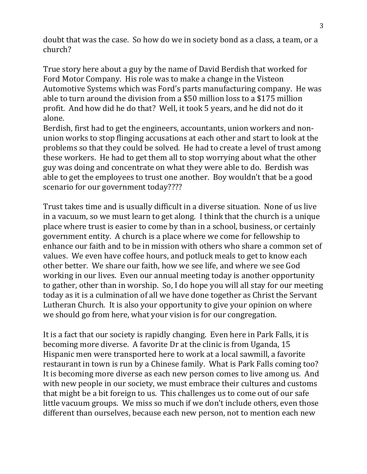doubt that was the case. So how do we in society bond as a class, a team, or a church?

True story here about a guy by the name of David Berdish that worked for Ford Motor Company. His role was to make a change in the Visteon Automotive Systems which was Ford's parts manufacturing company. He was able to turn around the division from a \$50 million loss to a \$175 million profit. And how did he do that? Well, it took 5 years, and he did not do it alone.

Berdish, first had to get the engineers, accountants, union workers and nonunion works to stop flinging accusations at each other and start to look at the problems so that they could be solved. He had to create a level of trust among these workers. He had to get them all to stop worrying about what the other guy was doing and concentrate on what they were able to do. Berdish was able to get the employees to trust one another. Boy wouldn't that be a good scenario for our government today????

Trust takes time and is usually difficult in a diverse situation. None of us live in a vacuum, so we must learn to get along. I think that the church is a unique place where trust is easier to come by than in a school, business, or certainly government entity. A church is a place where we come for fellowship to enhance our faith and to be in mission with others who share a common set of values. We even have coffee hours, and potluck meals to get to know each other better. We share our faith, how we see life, and where we see God working in our lives. Even our annual meeting today is another opportunity to gather, other than in worship. So, I do hope you will all stay for our meeting today as it is a culmination of all we have done together as Christ the Servant Lutheran Church. It is also your opportunity to give your opinion on where we should go from here, what your vision is for our congregation.

It is a fact that our society is rapidly changing. Even here in Park Falls, it is becoming more diverse. A favorite Dr at the clinic is from Uganda, 15 Hispanic men were transported here to work at a local sawmill, a favorite restaurant in town is run by a Chinese family. What is Park Falls coming too? It is becoming more diverse as each new person comes to live among us. And with new people in our society, we must embrace their cultures and customs that might be a bit foreign to us. This challenges us to come out of our safe little vacuum groups. We miss so much if we don't include others, even those different than ourselves, because each new person, not to mention each new